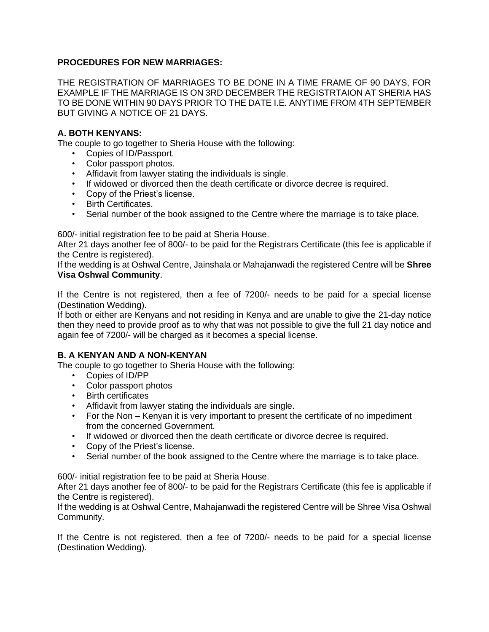## **PROCEDURES FOR NEW MARRIAGES:**

THE REGISTRATION OF MARRIAGES TO BE DONE IN A TIME FRAME OF 90 DAYS, FOR EXAMPLE IF THE MARRIAGE IS ON 3RD DECEMBER THE REGISTRTAION AT SHERIA HAS TO BE DONE WITHIN 90 DAYS PRIOR TO THE DATE I.E. ANYTIME FROM 4TH SEPTEMBER BUT GIVING A NOTICE OF 21 DAYS.

## **A. BOTH KENYANS:**

The couple to go together to Sheria House with the following:

- Copies of ID/Passport.
- Color passport photos.
- Affidavit from lawyer stating the individuals is single.
- If widowed or divorced then the death certificate or divorce decree is required.
- Copy of the Priest's license.
- Birth Certificates.
- Serial number of the book assigned to the Centre where the marriage is to take place.

600/- initial registration fee to be paid at Sheria House.

After 21 days another fee of 800/- to be paid for the Registrars Certificate (this fee is applicable if the Centre is registered).

If the wedding is at Oshwal Centre, Jainshala or Mahajanwadi the registered Centre will be **Shree Visa Oshwal Community**.

If the Centre is not registered, then a fee of 7200/- needs to be paid for a special license (Destination Wedding).

If both or either are Kenyans and not residing in Kenya and are unable to give the 21-day notice then they need to provide proof as to why that was not possible to give the full 21 day notice and again fee of 7200/- will be charged as it becomes a special license.

### **B. A KENYAN AND A NON-KENYAN**

The couple to go together to Sheria House with the following:

- Copies of ID/PP
- Color passport photos
- Birth certificates
- Affidavit from lawyer stating the individuals are single.
- For the Non Kenyan it is very important to present the certificate of no impediment from the concerned Government.
- If widowed or divorced then the death certificate or divorce decree is required.
- Copy of the Priest's license.
- Serial number of the book assigned to the Centre where the marriage is to take place.

600/- initial registration fee to be paid at Sheria House.

After 21 days another fee of 800/- to be paid for the Registrars Certificate (this fee is applicable if the Centre is registered).

If the wedding is at Oshwal Centre, Mahajanwadi the registered Centre will be Shree Visa Oshwal Community.

If the Centre is not registered, then a fee of 7200/- needs to be paid for a special license (Destination Wedding).